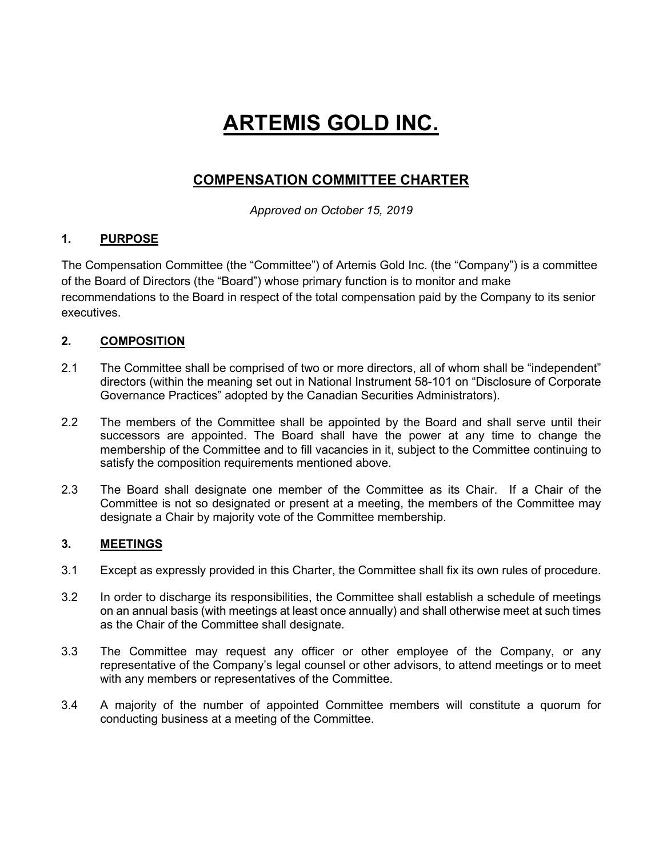# **ARTEMIS GOLD INC.**

## **COMPENSATION COMMITTEE CHARTER**

*Approved on October 15, 2019*

### **1. PURPOSE**

The Compensation Committee (the "Committee") of Artemis Gold Inc. (the "Company") is a committee of the Board of Directors (the "Board") whose primary function is to monitor and make recommendations to the Board in respect of the total compensation paid by the Company to its senior executives.

### **2. COMPOSITION**

- 2.1 The Committee shall be comprised of two or more directors, all of whom shall be "independent" directors (within the meaning set out in National Instrument 58-101 on "Disclosure of Corporate Governance Practices" adopted by the Canadian Securities Administrators).
- 2.2 The members of the Committee shall be appointed by the Board and shall serve until their successors are appointed. The Board shall have the power at any time to change the membership of the Committee and to fill vacancies in it, subject to the Committee continuing to satisfy the composition requirements mentioned above.
- 2.3 The Board shall designate one member of the Committee as its Chair. If a Chair of the Committee is not so designated or present at a meeting, the members of the Committee may designate a Chair by majority vote of the Committee membership.

### **3. MEETINGS**

- 3.1 Except as expressly provided in this Charter, the Committee shall fix its own rules of procedure.
- 3.2 In order to discharge its responsibilities, the Committee shall establish a schedule of meetings on an annual basis (with meetings at least once annually) and shall otherwise meet at such times as the Chair of the Committee shall designate.
- 3.3 The Committee may request any officer or other employee of the Company, or any representative of the Company's legal counsel or other advisors, to attend meetings or to meet with any members or representatives of the Committee.
- 3.4 A majority of the number of appointed Committee members will constitute a quorum for conducting business at a meeting of the Committee.